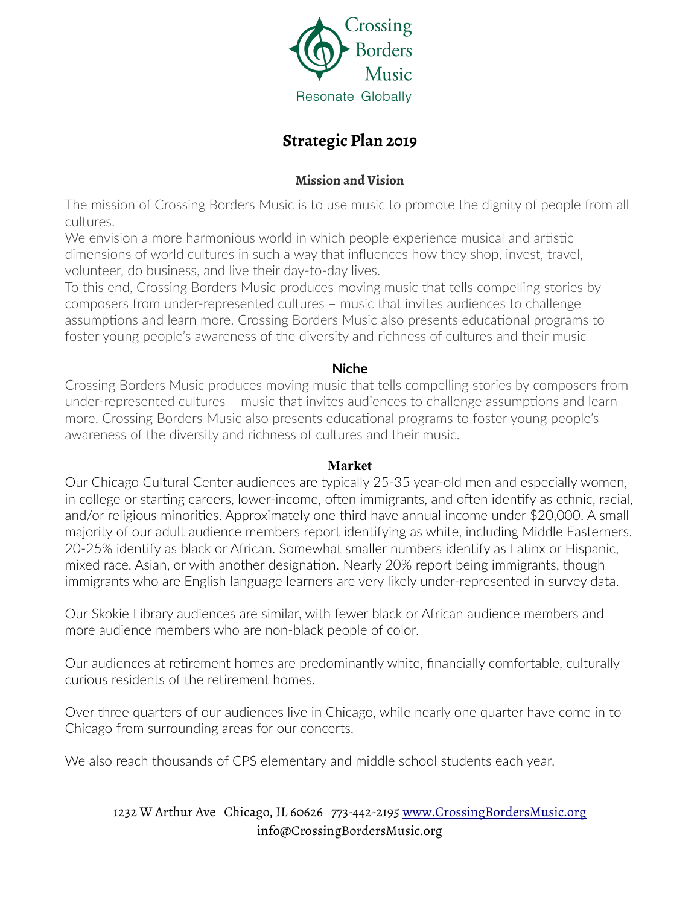

# **Strategic Plan 2019**

## **Mission and Vision**

The mission of Crossing Borders Music is to use music to promote the dignity of people from all cultures.

We envision a more harmonious world in which people experience musical and artistic dimensions of world cultures in such a way that influences how they shop, invest, travel, volunteer, do business, and live their day-to-day lives.

To this end, Crossing Borders Music produces moving music that tells compelling stories by composers from under-represented cultures – music that invites audiences to challenge assumptions and learn more. Crossing Borders Music also presents educational programs to foster young people's awareness of the diversity and richness of cultures and their music

### **Niche**

Crossing Borders Music produces moving music that tells compelling stories by composers from under-represented cultures – music that invites audiences to challenge assumptions and learn more. Crossing Borders Music also presents educational programs to foster young people's awareness of the diversity and richness of cultures and their music.

### **Market**

Our Chicago Cultural Center audiences are typically 25-35 year-old men and especially women, in college or starting careers, lower-income, often immigrants, and often identify as ethnic, racial, and/or religious minorities. Approximately one third have annual income under \$20,000. A small majority of our adult audience members report identifying as white, including Middle Easterners. 20-25% identify as black or African. Somewhat smaller numbers identify as Latinx or Hispanic, mixed race, Asian, or with another designation. Nearly 20% report being immigrants, though immigrants who are English language learners are very likely under-represented in survey data.

Our Skokie Library audiences are similar, with fewer black or African audience members and more audience members who are non-black people of color.

Our audiences at retirement homes are predominantly white, financially comfortable, culturally curious residents of the retirement homes.

Over three quarters of our audiences live in Chicago, while nearly one quarter have come in to Chicago from surrounding areas for our concerts.

We also reach thousands of CPS elementary and middle school students each year.

## 1232 W Arthur Ave Chicago, IL 60626 773-442-2195 [www.CrossingBordersMusic.org](http://www.crossingbordersmusic.org/) info@CrossingBordersMusic.org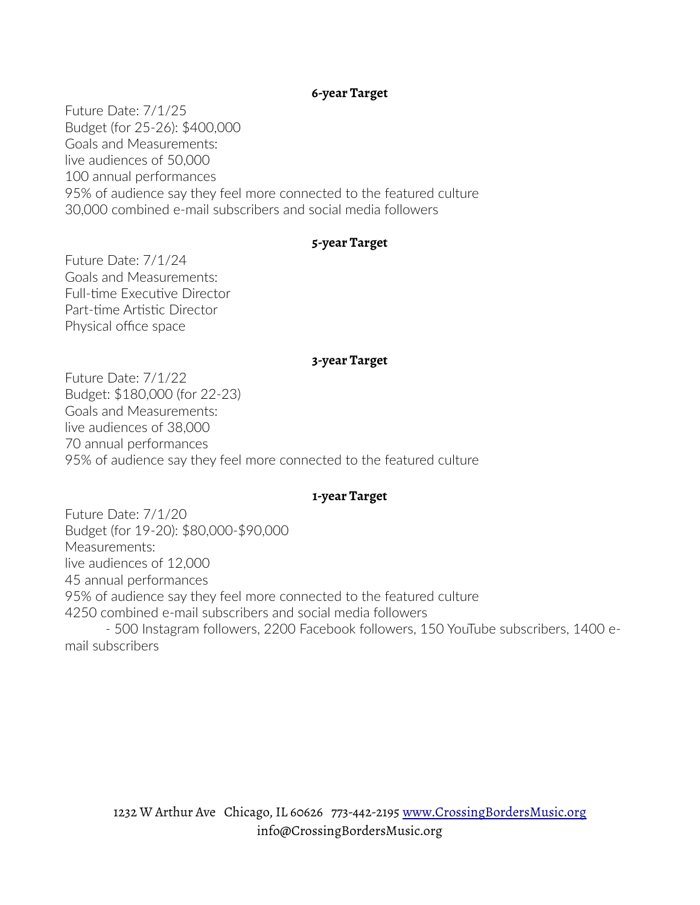### **6-year Target**

Future Date: 7/1/25 Budget (for 25-26): \$400,000 Goals and Measurements: live audiences of 50,000 100 annual performances 95% of audience say they feel more connected to the featured culture 30,000 combined e-mail subscribers and social media followers

### **5-year Target**

Future Date: 7/1/24 Goals and Measurements: Full-time Executive Director Part-time Artistic Director Physical office space

#### **3-year Target**

Future Date: 7/1/22 Budget: \$180,000 (for 22-23) Goals and Measurements: live audiences of 38,000 70 annual performances 95% of audience say they feel more connected to the featured culture

#### **1-year Target**

Future Date: 7/1/20 Budget (for 19-20): \$80,000-\$90,000 Measurements: live audiences of 12,000 45 annual performances 95% of audience say they feel more connected to the featured culture 4250 combined e-mail subscribers and social media followers - 500 Instagram followers, 2200 Facebook followers, 150 YouTube subscribers, 1400 email subscribers